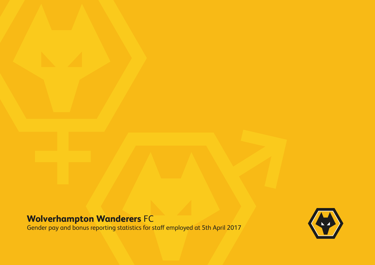# **Wolverhampton Wanderers** FC

Gender pay and bonus reporting statistics for staff employed at 5th April 2017

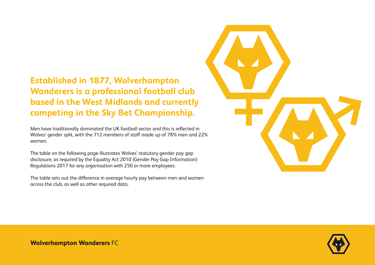# **Established in 1877, Wolverhampton Wanderers is a professional football club based in the West Midlands and currently competing in the Sky Bet Championship.**

Men have traditionally dominated the UK football sector and this is reflected in Wolves' gender split, with the 712 members of staff made up of 78% men and 22% women.

The table on the following page illustrates Wolves' statutory gender pay gap disclosure, as required by the Equality Act 2010 (Gender Pay Gap Information) Regulations 2017 for any organisation with 250 or more employees.

The table sets out the difference in average hourly pay between men and women across the club, as well as other required data.



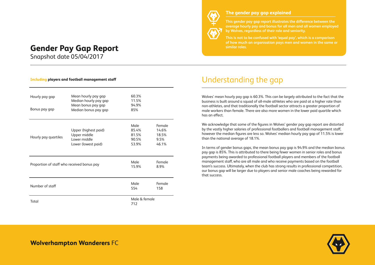## **Gender Pay Gap Report Similar roles.**

Snapshot date 05/04/2017

#### **Including players and football management staff**

| Hourly pay gap<br>Bonus pay gap            | Mean hourly pay gap<br>Median hourly pay gap<br>Mean bonus pay gap<br>Median bonus pay gap | 60.3%<br>11.5%<br>94.9%<br>85%           |                                           |
|--------------------------------------------|--------------------------------------------------------------------------------------------|------------------------------------------|-------------------------------------------|
| Hourly pay quartiles                       | Upper (highest paid)<br>Upper middle<br>Lower middle<br>Lower (lowest paid)                | Male<br>85.4%<br>81.5%<br>90.5%<br>53.9% | Female<br>14.6%<br>18.5%<br>9.5%<br>46.1% |
| Proportion of staff who received bonus pay |                                                                                            | Male<br>15.9%                            | Female<br>8.9%                            |
| Number of staff                            |                                                                                            | Male<br>554                              | Female<br>158                             |
| Total                                      |                                                                                            | Male & female<br>712                     |                                           |



#### **The gender pay gap explained**

**This gender pay gap report illustrates the difference between the average hourly pay and bonus for all men and all women employed by Wolves, regardless of their role and seniority.** 

**This is not to be confused with 'equal pay', which is a comparison of how much an organisation pays men and women in the same or** 

### Understanding the gap

Wolves' mean hourly pay gap is 60.3%. This can be largely attributed to the fact that the business is built around a squad of all-male athletes who are paid at a higher rate than non-athletes, and that traditionally the football sector attracts a greater proportion of male workers than female. There are also more women in the lower paid quartile which has an effect.

We acknowledge that some of the figures in Wolves' gender pay gap report are distorted by the vastly higher salaries of professional footballers and football management staff, however the median figures are less so. Wolves' median hourly pay gap of 11.5% is lower than the national average of 18.1%.

In terms of gender bonus gaps, the mean bonus pay gap is 94.9% and the median bonus pay gap is 85%. This is attributed to there being fewer women in senior roles and bonus payments being awarded to professional football players and members of the football management staff, who are all male and who receive payments based on the football team's success. Ultimately, when the club has strong results in professional competition, our bonus gap will be larger due to players and senior male coaches being rewarded for that success.

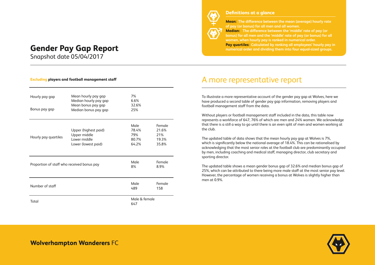### **Gender Pay Gap Report**

Snapshot date 05/04/2017

#### **Excluding players and football management staff**

| Hourly pay gap<br>Bonus pay gap            | Mean hourly pay gap<br>Median hourly pay gap<br>Mean bonus pay gap<br>Median bonus pay gap | 7%<br>6.6%<br>32.6%<br>25%             |                                          |
|--------------------------------------------|--------------------------------------------------------------------------------------------|----------------------------------------|------------------------------------------|
| Hourly pay quartiles                       | Upper (highest paid)<br>Upper middle<br>Lower middle<br>Lower (lowest paid)                | Male<br>78.4%<br>79%<br>80.7%<br>64.2% | Female<br>21.6%<br>21%<br>19.3%<br>35.8% |
| Proportion of staff who received bonus pay |                                                                                            | Male<br>8%                             | Female<br>8.9%                           |
| Number of staff                            |                                                                                            | Male<br>489                            | Female<br>158                            |
| Total                                      |                                                                                            | Male & female<br>647                   |                                          |



#### **Definitions at a glance**

**Mean: The difference between the mean (average) hourly rate of pay (or bonus) for all men and all women. Median: The difference between the 'middle' rate of pay (or bonus) for all men and the 'middle' rate of pay (or bonus) for all women, when hourly pay is ranked in numerical order. Pay quartiles: Calculated by ranking all employees' hourly pay in numerical order and dividing them into four equal-sized groups.** 

### A more representative report

To illustrate a more representative account of the gender pay gap at Wolves, here we have produced a second table of gender pay gap information, removing players and football management staff from the data.

Without players or football management staff included in the data, this table now represents a workforce of 647, 76% of which are men and 24% women. We acknowledge that there is a still a way to go until there is an even split of men and women working at the club.

The updated table of data shows that the mean hourly pay gap at Wolves is 7%, which is significantly below the national average of 18.4%. This can be rationalised by acknowledging that the most senior roles at the football club are predominantly occupied by men, including coaching and medical staff, managing director, club secretary and sporting director.

The updated table shows a mean gender bonus gap of 32.6% and median bonus gap of 25%, which can be attributed to there being more male staff at the most senior pay level. However, the percentage of women receiving a bonus at Wolves is slightly higher than men at 0.9%.